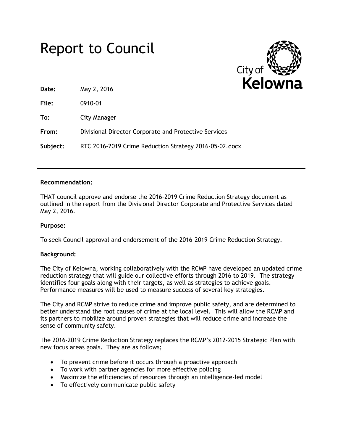# Report to Council



**Date:** May 2, 2016

**File:** 0910-01

**To:** City Manager

**From:** Divisional Director Corporate and Protective Services

**Subject:** RTC 2016-2019 Crime Reduction Strategy 2016-05-02.docx

#### **Recommendation:**

THAT council approve and endorse the 2016-2019 Crime Reduction Strategy document as outlined in the report from the Divisional Director Corporate and Protective Services dated May 2, 2016.

### **Purpose:**

To seek Council approval and endorsement of the 2016-2019 Crime Reduction Strategy.

## **Background:**

The City of Kelowna, working collaboratively with the RCMP have developed an updated crime reduction strategy that will guide our collective efforts through 2016 to 2019. The strategy identifies four goals along with their targets, as well as strategies to achieve goals. Performance measures will be used to measure success of several key strategies.

The City and RCMP strive to reduce crime and improve public safety, and are determined to better understand the root causes of crime at the local level. This will allow the RCMP and its partners to mobilize around proven strategies that will reduce crime and increase the sense of community safety.

The 2016-2019 Crime Reduction Strategy replaces the RCMP's 2012-2015 Strategic Plan with new focus areas goals. They are as follows;

- To prevent crime before it occurs through a proactive approach
- To work with partner agencies for more effective policing
- Maximize the efficiencies of resources through an intelligence-led model
- To effectively communicate public safety